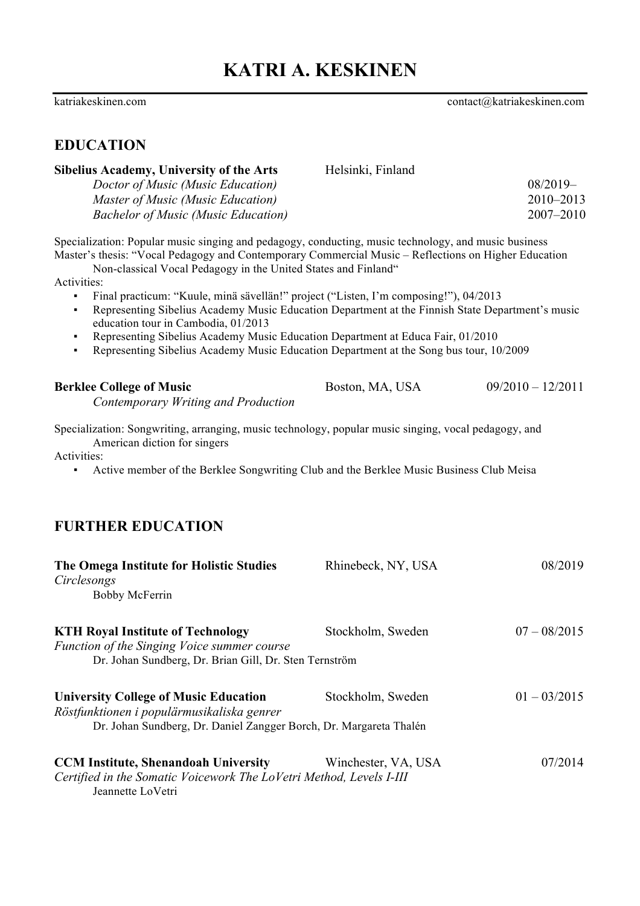katriakeskinen.com contact@katriakeskinen.com

# **EDUCATION**

| <b>Sibelius Academy, University of the Arts</b>                                                                                                                                                                                                                                                                                                                                                                                                                                                                                                                                                                                                                                                                    | Helsinki, Finland   |                     |
|--------------------------------------------------------------------------------------------------------------------------------------------------------------------------------------------------------------------------------------------------------------------------------------------------------------------------------------------------------------------------------------------------------------------------------------------------------------------------------------------------------------------------------------------------------------------------------------------------------------------------------------------------------------------------------------------------------------------|---------------------|---------------------|
| Doctor of Music (Music Education)                                                                                                                                                                                                                                                                                                                                                                                                                                                                                                                                                                                                                                                                                  |                     | $08/2019-$          |
| Master of Music (Music Education)                                                                                                                                                                                                                                                                                                                                                                                                                                                                                                                                                                                                                                                                                  |                     | 2010-2013           |
| <b>Bachelor of Music (Music Education)</b>                                                                                                                                                                                                                                                                                                                                                                                                                                                                                                                                                                                                                                                                         |                     | 2007-2010           |
| Specialization: Popular music singing and pedagogy, conducting, music technology, and music business<br>Master's thesis: "Vocal Pedagogy and Contemporary Commercial Music - Reflections on Higher Education<br>Non-classical Vocal Pedagogy in the United States and Finland"<br>Activities:<br>Final practicum: "Kuule, minä sävellän!" project ("Listen, I'm composing!"), 04/2013<br>Representing Sibelius Academy Music Education Department at the Finnish State Department's music<br>٠<br>education tour in Cambodia, 01/2013<br>Representing Sibelius Academy Music Education Department at Educa Fair, 01/2010<br>Representing Sibelius Academy Music Education Department at the Song bus tour, 10/2009 |                     |                     |
| <b>Berklee College of Music</b><br>Contemporary Writing and Production                                                                                                                                                                                                                                                                                                                                                                                                                                                                                                                                                                                                                                             | Boston, MA, USA     | $09/2010 - 12/2011$ |
| American diction for singers<br>Activities:<br>Active member of the Berklee Songwriting Club and the Berklee Music Business Club Meisa<br><b>FURTHER EDUCATION</b>                                                                                                                                                                                                                                                                                                                                                                                                                                                                                                                                                 |                     |                     |
| The Omega Institute for Holistic Studies<br>Circlesongs<br><b>Bobby McFerrin</b>                                                                                                                                                                                                                                                                                                                                                                                                                                                                                                                                                                                                                                   | Rhinebeck, NY, USA  | 08/2019             |
| <b>KTH Royal Institute of Technology</b><br>Function of the Singing Voice summer course<br>Dr. Johan Sundberg, Dr. Brian Gill, Dr. Sten Ternström                                                                                                                                                                                                                                                                                                                                                                                                                                                                                                                                                                  | Stockholm, Sweden   | $07 - 08/2015$      |
| <b>University College of Music Education</b><br>Röstfunktionen i populärmusikaliska genrer<br>Dr. Johan Sundberg, Dr. Daniel Zangger Borch, Dr. Margareta Thalén                                                                                                                                                                                                                                                                                                                                                                                                                                                                                                                                                   | Stockholm, Sweden   | $01 - 03/2015$      |
| <b>CCM Institute, Shenandoah University</b><br>Certified in the Somatic Voicework The LoVetri Method, Levels I-III<br>Jeannette LoVetri                                                                                                                                                                                                                                                                                                                                                                                                                                                                                                                                                                            | Winchester, VA, USA | 07/2014             |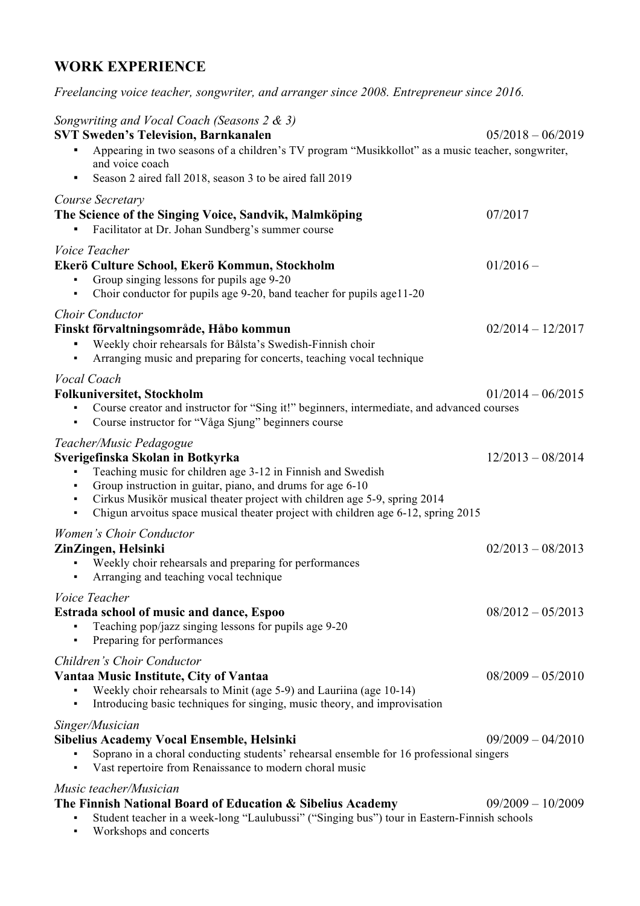# **WORK EXPERIENCE**

*Freelancing voice teacher, songwriter, and arranger since 2008. Entrepreneur since 2016.*

| Songwriting and Vocal Coach (Seasons 2 & 3)<br><b>SVT Sweden's Television, Barnkanalen</b>                                                                                                                                                                                                                                                                      | $05/2018 - 06/2019$ |
|-----------------------------------------------------------------------------------------------------------------------------------------------------------------------------------------------------------------------------------------------------------------------------------------------------------------------------------------------------------------|---------------------|
| Appearing in two seasons of a children's TV program "Musikkollot" as a music teacher, songwriter,<br>and voice coach                                                                                                                                                                                                                                            |                     |
| Season 2 aired fall 2018, season 3 to be aired fall 2019                                                                                                                                                                                                                                                                                                        |                     |
| Course Secretary<br>The Science of the Singing Voice, Sandvik, Malmköping<br>Facilitator at Dr. Johan Sundberg's summer course                                                                                                                                                                                                                                  | 07/2017             |
| Voice Teacher<br>Ekerö Culture School, Ekerö Kommun, Stockholm<br>Group singing lessons for pupils age 9-20<br>Choir conductor for pupils age 9-20, band teacher for pupils age11-20                                                                                                                                                                            | $01/2016 -$         |
| <b>Choir Conductor</b><br>Finskt förvaltningsområde, Håbo kommun<br>Weekly choir rehearsals for Bålsta's Swedish-Finnish choir<br>Arranging music and preparing for concerts, teaching vocal technique                                                                                                                                                          | $02/2014 - 12/2017$ |
| Vocal Coach<br><b>Folkuniversitet, Stockholm</b><br>Course creator and instructor for "Sing it!" beginners, intermediate, and advanced courses<br>Course instructor for "Våga Sjung" beginners course<br>٠                                                                                                                                                      | $01/2014 - 06/2015$ |
| Teacher/Music Pedagogue<br>Sverigefinska Skolan in Botkyrka<br>Teaching music for children age 3-12 in Finnish and Swedish<br>Group instruction in guitar, piano, and drums for age 6-10<br>Cirkus Musikör musical theater project with children age 5-9, spring 2014<br>Chigun arvoitus space musical theater project with children age 6-12, spring 2015<br>٠ | $12/2013 - 08/2014$ |
| <b>Women's Choir Conductor</b><br>ZinZingen, Helsinki<br>Weekly choir rehearsals and preparing for performances<br>Arranging and teaching vocal technique                                                                                                                                                                                                       | $02/2013 - 08/2013$ |
| Voice Teacher<br><b>Estrada school of music and dance, Espoo</b><br>Teaching pop/jazz singing lessons for pupils age 9-20<br>Preparing for performances                                                                                                                                                                                                         | $08/2012 - 05/2013$ |
| Children's Choir Conductor<br>Vantaa Music Institute, City of Vantaa<br>Weekly choir rehearsals to Minit (age 5-9) and Lauriina (age 10-14)<br>Introducing basic techniques for singing, music theory, and improvisation                                                                                                                                        | $08/2009 - 05/2010$ |
| Singer/Musician<br>Sibelius Academy Vocal Ensemble, Helsinki<br>Soprano in a choral conducting students' rehearsal ensemble for 16 professional singers<br>Vast repertoire from Renaissance to modern choral music                                                                                                                                              | $09/2009 - 04/2010$ |
| Music teacher/Musician<br>The Finnish National Board of Education & Sibelius Academy<br>Student teacher in a week-long "Laulubussi" ("Singing bus") tour in Eastern-Finnish schools                                                                                                                                                                             | $09/2009 - 10/2009$ |

▪ Workshops and concerts